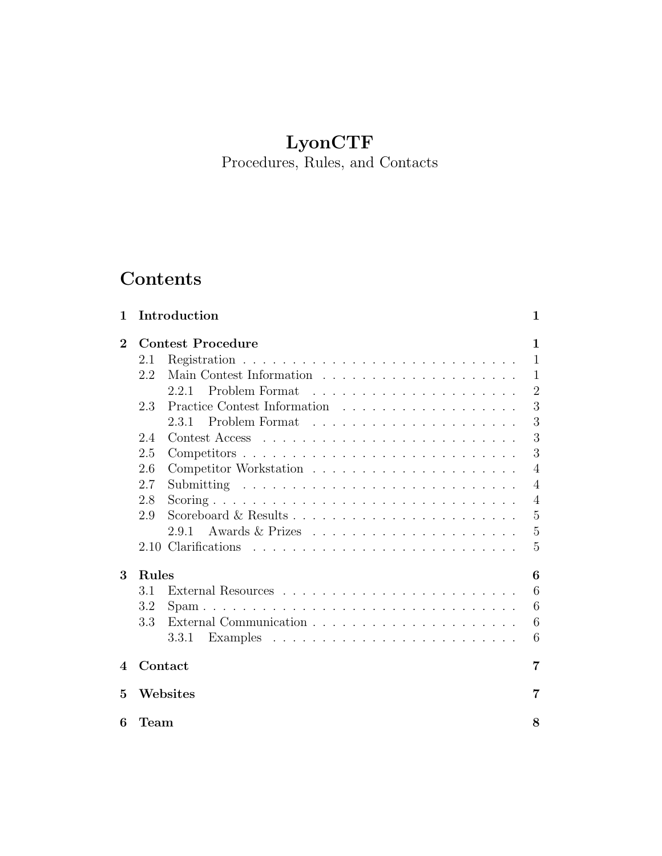## LyonCTF

Procedures, Rules, and Contacts

# Contents

| 1        |                          | Introduction | 1              |  |  |
|----------|--------------------------|--------------|----------------|--|--|
| $\bf{2}$ | <b>Contest Procedure</b> |              |                |  |  |
|          | 2.1                      |              | 1              |  |  |
|          | 2.2                      |              | 1              |  |  |
|          |                          | 2.2.1        | $\overline{2}$ |  |  |
|          | 2.3                      |              | 3              |  |  |
|          |                          | 2.3.1        | 3              |  |  |
|          | 2.4                      |              | 3              |  |  |
|          | 2.5                      |              | 3              |  |  |
|          | 2.6                      |              | 4              |  |  |
|          | 2.7                      |              | 4              |  |  |
|          | 2.8                      |              | $\overline{4}$ |  |  |
|          | 2.9                      |              | $\overline{5}$ |  |  |
|          |                          | 2.9.1        | 5              |  |  |
|          |                          |              | 5              |  |  |
| 3        | Rules<br>6               |              |                |  |  |
|          | 3.1                      |              | 6              |  |  |
|          | 3.2                      |              | 6              |  |  |
|          | 3.3                      |              | 6              |  |  |
|          |                          | 3.3.1        | 6              |  |  |
| 4        | Contact<br>7             |              |                |  |  |
| 5        | Websites<br>7            |              |                |  |  |
| 6        | Team                     |              |                |  |  |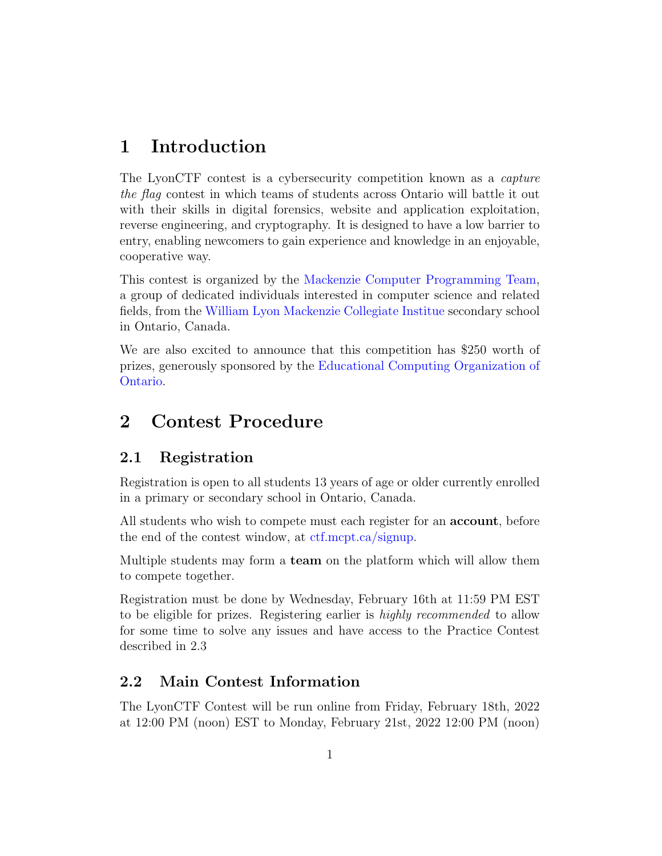## <span id="page-1-0"></span>1 Introduction

The LyonCTF contest is a cybersecurity competition known as a capture the flag contest in which teams of students across Ontario will battle it out with their skills in digital forensics, website and application exploitation, reverse engineering, and cryptography. It is designed to have a low barrier to entry, enabling newcomers to gain experience and knowledge in an enjoyable, cooperative way.

This contest is organized by the [Mackenzie Computer Programming Team,](https://mcpt.ca/about/) a group of dedicated individuals interested in computer science and related fields, from the [William Lyon Mackenzie Collegiate Institue](http://wlmac.ca) secondary school in Ontario, Canada.

We are also excited to announce that this competition has \$250 worth of prizes, generously sponsored by the [Educational Computing Organization of](https://ecoo.org) [Ontario.](https://ecoo.org)

## <span id="page-1-1"></span>2 Contest Procedure

#### <span id="page-1-2"></span>2.1 Registration

Registration is open to all students 13 years of age or older currently enrolled in a primary or secondary school in Ontario, Canada.

All students who wish to compete must each register for an **account**, before the end of the contest window, at [ctf.mcpt.ca/signup.](https://ctf.mcpt.ca/signup)

Multiple students may form a team on the platform which will allow them to compete together.

Registration must be done by Wednesday, February 16th at 11:59 PM EST to be eligible for prizes. Registering earlier is highly recommended to allow for some time to solve any issues and have access to the Practice Contest described in [2.3](#page-3-0)

#### <span id="page-1-3"></span>2.2 Main Contest Information

The LyonCTF Contest will be run online from Friday, February 18th, 2022 at 12:00 PM (noon) EST to Monday, February 21st, 2022 12:00 PM (noon)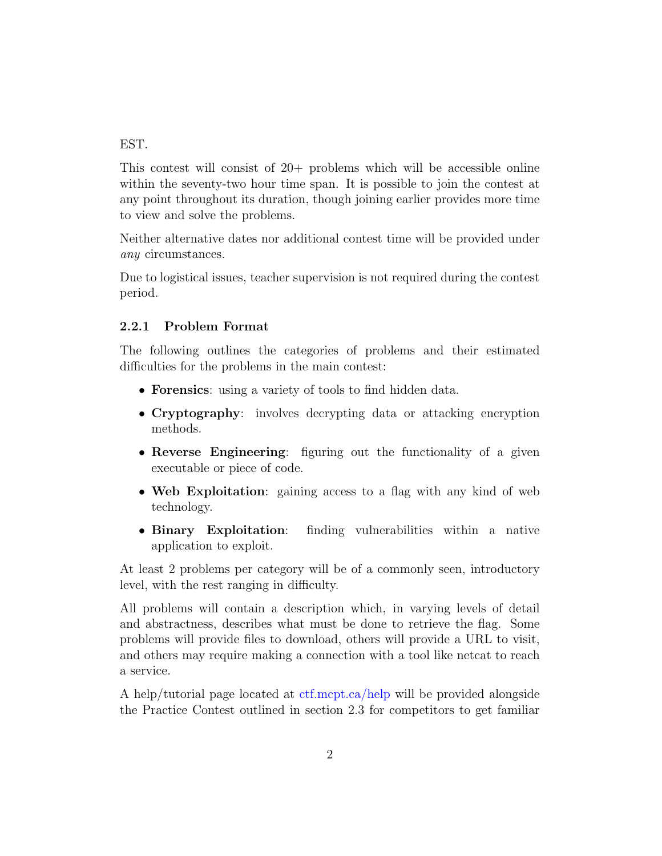EST.

This contest will consist of 20+ problems which will be accessible online within the seventy-two hour time span. It is possible to join the contest at any point throughout its duration, though joining earlier provides more time to view and solve the problems.

Neither alternative dates nor additional contest time will be provided under any circumstances.

Due to logistical issues, teacher supervision is not required during the contest period.

#### <span id="page-2-0"></span>2.2.1 Problem Format

The following outlines the categories of problems and their estimated difficulties for the problems in the main contest:

- Forensics: using a variety of tools to find hidden data.
- Cryptography: involves decrypting data or attacking encryption methods.
- Reverse Engineering: figuring out the functionality of a given executable or piece of code.
- Web Exploitation: gaining access to a flag with any kind of web technology.
- Binary Exploitation: finding vulnerabilities within a native application to exploit.

At least 2 problems per category will be of a commonly seen, introductory level, with the rest ranging in difficulty.

All problems will contain a description which, in varying levels of detail and abstractness, describes what must be done to retrieve the flag. Some problems will provide files to download, others will provide a URL to visit, and others may require making a connection with a tool like netcat to reach a service.

A help/tutorial page located at [ctf.mcpt.ca/help](https://ctf.mcpt.ca/help) will be provided alongside the Practice Contest outlined in section [2.3](#page-3-0) for competitors to get familiar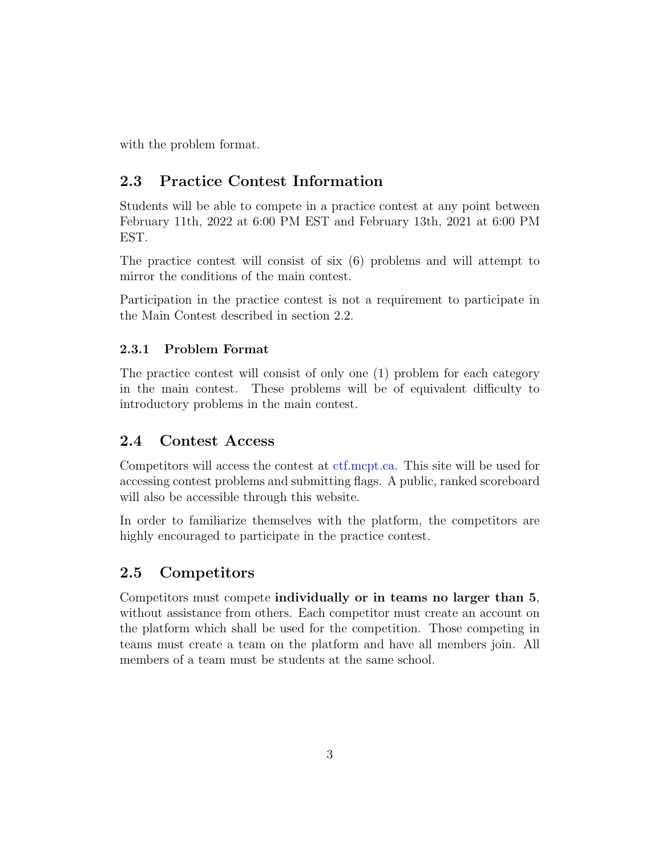<span id="page-3-0"></span>with the problem format.

## 2.3 Practice Contest Information

Students will be able to compete in a practice contest at any point between February 11th, 2022 at 6:00 PM EST and February 13th, 2021 at 6:00 PM EST.

The practice contest will consist of six (6) problems and will attempt to mirror the conditions of the main contest.

Participation in the practice contest is not a requirement to participate in the Main Contest described in section [2.2.](#page-1-3)

#### <span id="page-3-1"></span>2.3.1 Problem Format

The practice contest will consist of only one (1) problem for each category in the main contest. These problems will be of equivalent difficulty to introductory problems in the main contest.

#### <span id="page-3-2"></span>2.4 Contest Access

Competitors will access the contest at [ctf.mcpt.ca.](https://ctf.mcpt.ca) This site will be used for accessing contest problems and submitting flags. A public, ranked scoreboard will also be accessible through this website.

In order to familiarize themselves with the platform, the competitors are highly encouraged to participate in the practice contest.

#### <span id="page-3-3"></span>2.5 Competitors

<span id="page-3-4"></span>Competitors must compete individually or in teams no larger than 5, without assistance from others. Each competitor must create an account on the platform which shall be used for the competition. Those competing in teams must create a team on the platform and have all members join. All members of a team must be students at the same school.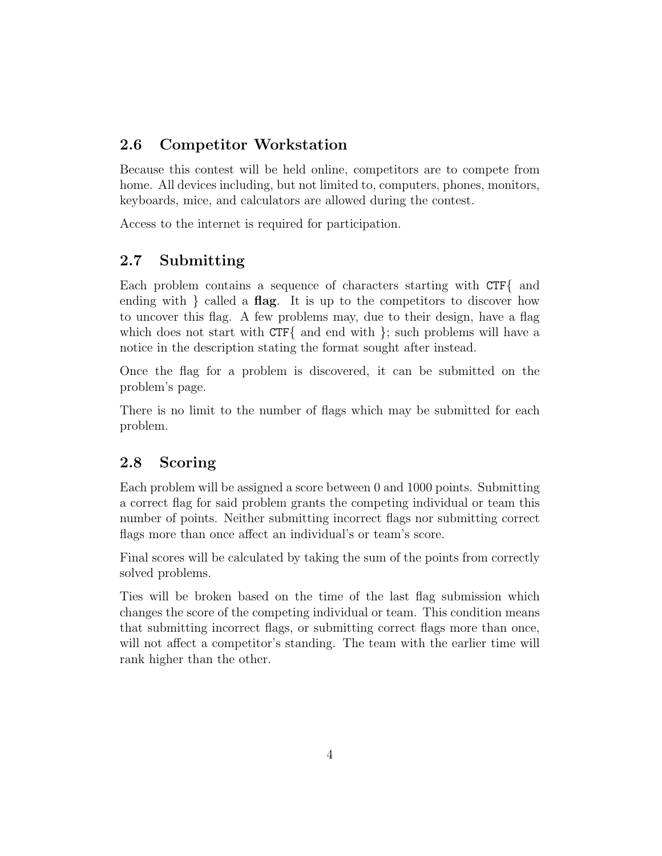## 2.6 Competitor Workstation

Because this contest will be held online, competitors are to compete from home. All devices including, but not limited to, computers, phones, monitors, keyboards, mice, and calculators are allowed during the contest.

<span id="page-4-0"></span>Access to the internet is required for participation.

## 2.7 Submitting

Each problem contains a sequence of characters starting with CTF{ and ending with  $\}$  called a **flag**. It is up to the competitors to discover how to uncover this flag. A few problems may, due to their design, have a flag which does not start with CTF{ and end with }; such problems will have a notice in the description stating the format sought after instead.

Once the flag for a problem is discovered, it can be submitted on the problem's page.

There is no limit to the number of flags which may be submitted for each problem.

## <span id="page-4-1"></span>2.8 Scoring

Each problem will be assigned a score between 0 and 1000 points. Submitting a correct flag for said problem grants the competing individual or team this number of points. Neither submitting incorrect flags nor submitting correct flags more than once affect an individual's or team's score.

Final scores will be calculated by taking the sum of the points from correctly solved problems.

<span id="page-4-2"></span>Ties will be broken based on the time of the last flag submission which changes the score of the competing individual or team. This condition means that submitting incorrect flags, or submitting correct flags more than once, will not affect a competitor's standing. The team with the earlier time will rank higher than the other.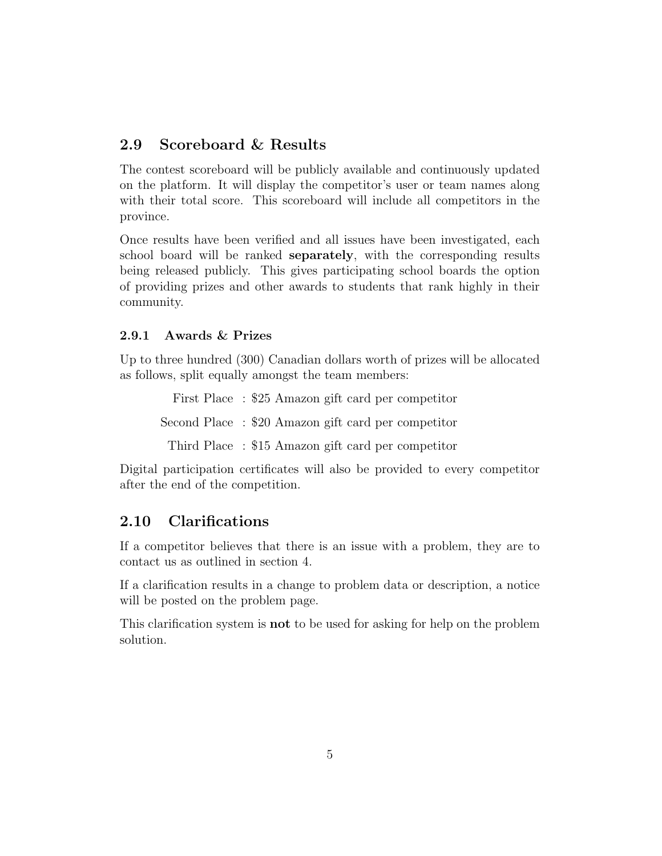## 2.9 Scoreboard & Results

The contest scoreboard will be publicly available and continuously updated on the platform. It will display the competitor's user or team names along with their total score. This scoreboard will include all competitors in the province.

Once results have been verified and all issues have been investigated, each school board will be ranked **separately**, with the corresponding results being released publicly. This gives participating school boards the option of providing prizes and other awards to students that rank highly in their community.

#### <span id="page-5-0"></span>2.9.1 Awards & Prizes

Up to three hundred (300) Canadian dollars worth of prizes will be allocated as follows, split equally amongst the team members:

First Place : \$25 Amazon gift card per competitor Second Place : \$20 Amazon gift card per competitor Third Place : \$15 Amazon gift card per competitor

Digital participation certificates will also be provided to every competitor after the end of the competition.

#### <span id="page-5-1"></span>2.10 Clarifications

If a competitor believes that there is an issue with a problem, they are to contact us as outlined in section [4.](#page-7-0)

If a clarification results in a change to problem data or description, a notice will be posted on the problem page.

<span id="page-5-2"></span>This clarification system is not to be used for asking for help on the problem solution.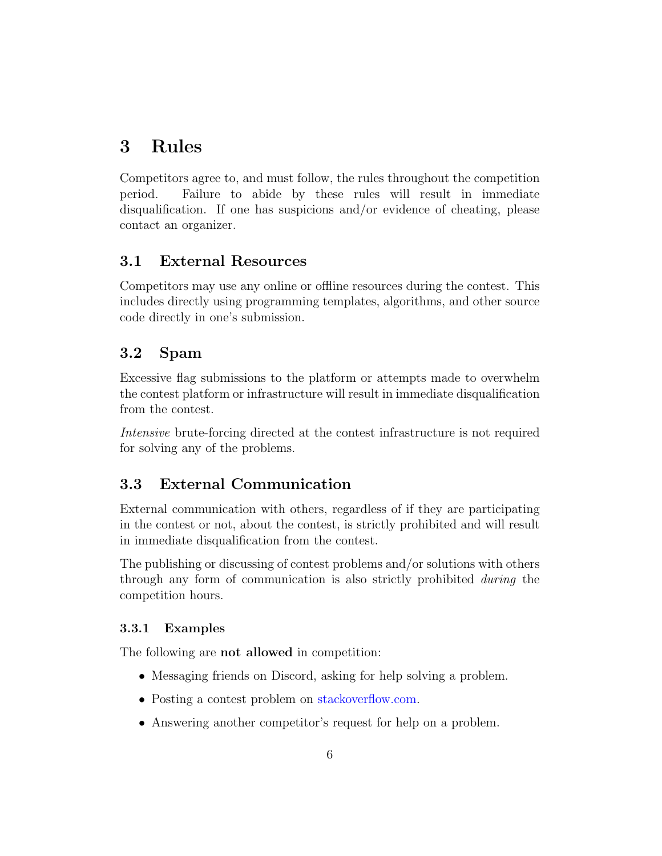## 3 Rules

Competitors agree to, and must follow, the rules throughout the competition period. Failure to abide by these rules will result in immediate disqualification. If one has suspicions and/or evidence of cheating, please contact an organizer.

### <span id="page-6-0"></span>3.1 External Resources

Competitors may use any online or offline resources during the contest. This includes directly using programming templates, algorithms, and other source code directly in one's submission.

### <span id="page-6-1"></span>3.2 Spam

Excessive flag submissions to the platform or attempts made to overwhelm the contest platform or infrastructure will result in immediate disqualification from the contest.

Intensive brute-forcing directed at the contest infrastructure is not required for solving any of the problems.

## <span id="page-6-2"></span>3.3 External Communication

External communication with others, regardless of if they are participating in the contest or not, about the contest, is strictly prohibited and will result in immediate disqualification from the contest.

The publishing or discussing of contest problems and/or solutions with others through any form of communication is also strictly prohibited during the competition hours.

#### <span id="page-6-3"></span>3.3.1 Examples

The following are not allowed in competition:

- Messaging friends on Discord, asking for help solving a problem.
- Posting a contest problem on [stackoverflow.com.](https://stackoverflow.com)
- Answering another competitor's request for help on a problem.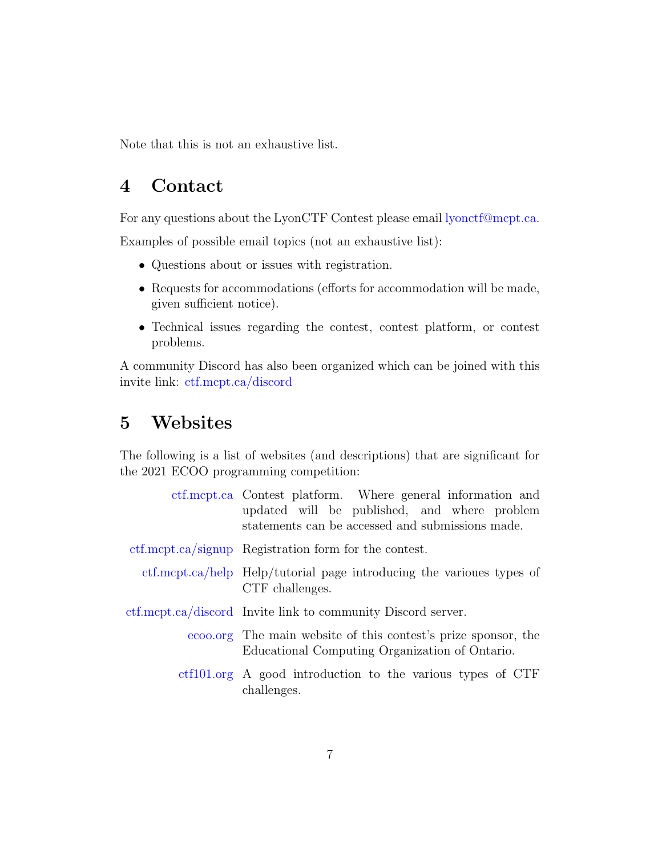<span id="page-7-0"></span>Note that this is not an exhaustive list.

## 4 Contact

For any questions about the LyonCTF Contest please email [lyonctf@mcpt.ca.](mailto:lyonctf@mcpt.ca)

Examples of possible email topics (not an exhaustive list):

- Questions about or issues with registration.
- Requests for accommodations (efforts for accommodation will be made, given sufficient notice).
- Technical issues regarding the contest, contest platform, or contest problems.

A community Discord has also been organized which can be joined with this invite link: [ctf.mcpt.ca/discord](https://ctf.mcpt.ca/discord)

## <span id="page-7-1"></span>5 Websites

The following is a list of websites (and descriptions) that are significant for the 2021 ECOO programming competition:

<span id="page-7-2"></span>

| etf.mept.ca Contest platform. Where general information and<br>updated will be published, and where problem<br>statements can be accessed and submissions made. |
|-----------------------------------------------------------------------------------------------------------------------------------------------------------------|
| etf.mcpt.ca/signup Registration form for the contest.                                                                                                           |
| etf.mept.ca/help Help/tutorial page introducing the various types of<br>CTF challenges.                                                                         |
| etf.mcpt.ca/discord Invite link to community Discord server.                                                                                                    |
| ecoo.org The main website of this contest's prize sponsor, the<br>Educational Computing Organization of Ontario.                                                |
| etf101.org A good introduction to the various types of CTF<br>challenges.                                                                                       |